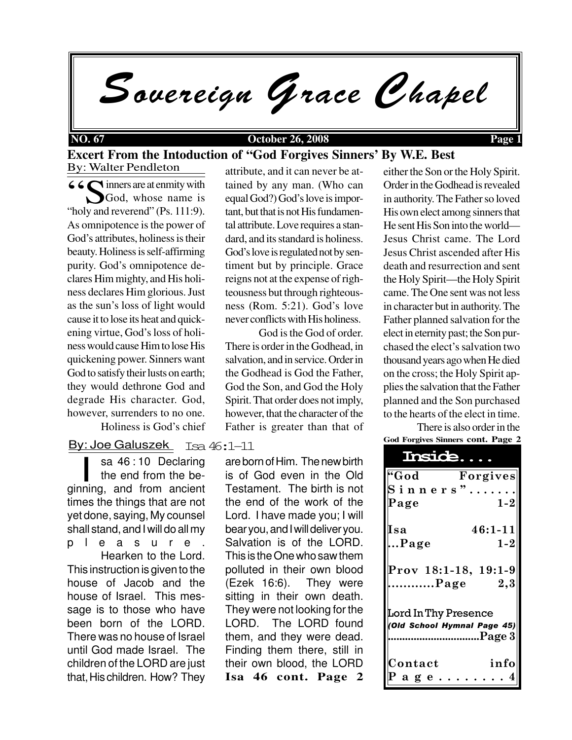Sovereign Grace Chapel

### **NO. 67 October 26, 2008 Page 1**

### By: Walter Pendleton **Excert From the Intoduction of "God Forgives Sinners' By W.E. Best**

CO inners are at enmity with<br>
Solv and reverend" (Ps. 111.9) God, whose name is "holy and reverend" (Ps. 111:9). As omnipotence is the power of God's attributes, holiness is their beauty. Holiness is self-affirming purity. God's omnipotence declares Him mighty, and His holiness declares Him glorious. Just as the sun's loss of light would cause it to lose its heat and quickening virtue, God's loss of holiness would cause Him to lose His quickening power. Sinners want God to satisfy their lusts on earth; they would dethrone God and degrade His character. God, however, surrenders to no one. Holiness is God's chief

# By: Joe Galuszek Isa 46:1–11

sa 46:10 Declaring<br>the end from the be-<br>ginning, and from ancient sa 46 : 10 Declaring the end from the betimes the things that are not yet done, saying, My counsel shall stand, and I will do all my pleasure. Hearken to the Lord. This instruction is given to the house of Jacob and the house of Israel. This message is to those who have been born of the LORD. There was no house of Israel until God made Israel. The children of the LORD are just that, His children. How? They attribute, and it can never be attained by any man. (Who can equal God?) God's love is important, but that is not His fundamental attribute. Love requires a standard, and its standard is holiness. God's love is regulated not by sentiment but by principle. Grace reigns not at the expense of righteousness but through righteousness (Rom. 5:21). God's love never conflicts with His holiness.

God is the God of order. There is order in the Godhead, in salvation, and in service. Order in the Godhead is God the Father, God the Son, and God the Holy Spirit. That order does not imply, however, that the character of the Father is greater than that of

**Isa 46 cont. Page 2** are born of Him. The new birth is of God even in the Old Testament. The birth is not the end of the work of the Lord. I have made you; I will bear you, and I will deliver you. Salvation is of the LORD. This is the One who saw them polluted in their own blood (Ezek 16:6). They were sitting in their own death. They were not looking for the LORD. The LORD found them, and they were dead. Finding them there, still in their own blood, the LORD either the Son or the Holy Spirit. Order in the Godhead is revealed in authority. The Father so loved His own elect among sinners that He sent His Son into the world— Jesus Christ came. The Lord Jesus Christ ascended after His death and resurrection and sent the Holy Spirit—the Holy Spirit came. The One sent was not less in character but in authority. The Father planned salvation for the elect in eternity past; the Son purchased the elect's salvation two thousand years ago when He died on the cross; the Holy Spirit applies the salvation that the Father planned and the Son purchased to the hearts of the elect in time.

**God Forgives Sinners cont. Page 2** There is also order in the

| Insice                                |             |
|---------------------------------------|-------------|
| "God                                  | Forgives    |
| Sinners"                              |             |
| Page                                  | $1 - 2$     |
| Isa                                   | $46:1 - 11$ |
| Page                                  | $1 - 2$     |
| Prov 18:1-18, 19:1-9<br>Page          | 2,3         |
| <b>Lord In Thy Presence</b>           |             |
| (Old School Hymnal Page 45)<br>Page 3 |             |
|                                       |             |
| Contact                               | info        |
| 'age                                  |             |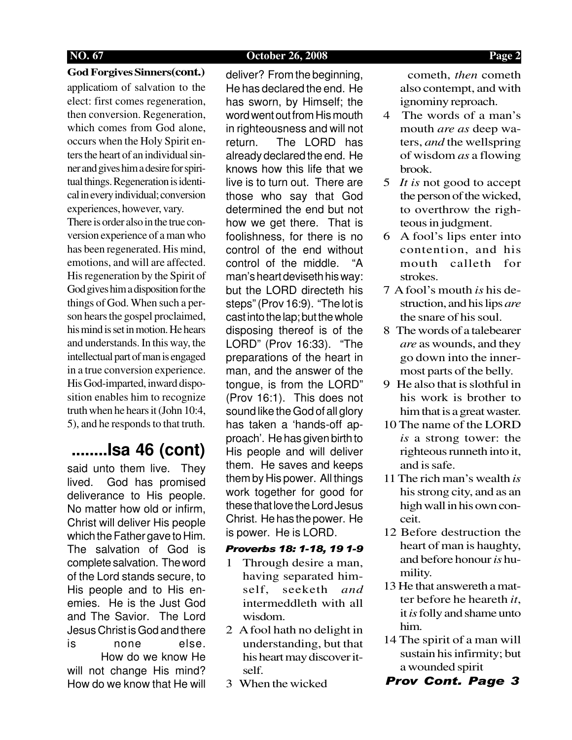### **NO. 67 October 26, 2008 Page 2**

## **God Forgives Sinners(cont.)**

applicatiom of salvation to the elect: first comes regeneration, then conversion. Regeneration, which comes from God alone, occurs when the Holy Spirit enters the heart of an individual sinner and gives him a desire for spiritual things. Regeneration is identical in every individual; conversion experiences, however, vary.

There is order also in the true conversion experience of a man who has been regenerated. His mind, emotions, and will are affected. His regeneration by the Spirit of God gives him a disposition for the things of God. When such a person hears the gospel proclaimed, his mind is set in motion. He hears and understands. In this way, the intellectual part of man is engaged in a true conversion experience. His God-imparted, inward disposition enables him to recognize truth when he hears it (John 10:4, 5), and he responds to that truth.

# **........Isa 46 (cont)**

said unto them live. They lived. God has promised deliverance to His people. No matter how old or infirm, Christ will deliver His people which the Father gave to Him. The salvation of God is complete salvation. The word of the Lord stands secure, to His people and to His enemies. He is the Just God and The Savior. The Lord Jesus Christ is God and there is none else. How do we know He will not change His mind? How do we know that He will

deliver? From the beginning, He has declared the end. He has sworn, by Himself; the word went out from His mouth in righteousness and will not return. The LORD has already declared the end. He knows how this life that we live is to turn out. There are those who say that God determined the end but not how we get there. That is foolishness, for there is no control of the end without control of the middle. "A man's heart deviseth his way: but the LORD directeth his steps" (Prov 16:9). "The lot is cast into the lap; but the whole disposing thereof is of the LORD" (Prov 16:33). "The preparations of the heart in man, and the answer of the tongue, is from the LORD" (Prov 16:1). This does not sound like the God of all glory has taken a 'hands-off approach'. He has given birth to His people and will deliver them. He saves and keeps them by His power. All things work together for good for these that love the Lord Jesus Christ. He has the power. He is power. He is LORD.

### Proverbs 18: 1-18, 19 1-9

- 1 Through desire a man, having separated himself, seeketh *and* intermeddleth with all wisdom.
- 2 A fool hath no delight in understanding, but that his heart may discover itself.
- 3 When the wicked

 cometh, *then* cometh also contempt, and with ignominy reproach.

- 4 The words of a man's mouth *are as* deep waters, *and* the wellspring of wisdom *as* a flowing brook.
- 5 *It is* not good to accept the person of the wicked, to overthrow the righteous in judgment.
- 6 A fool's lips enter into contention, and his mouth calleth for strokes.
- 7 A fool's mouth *is* his destruction, and his lips *are* the snare of his soul.
- 8 The words of a talebearer *are* as wounds, and they go down into the innermost parts of the belly.
- 9 He also that is slothful in his work is brother to him that is a great waster.
- 10 The name of the LORD *is* a strong tower: the righteous runneth into it, and is safe.
- 11 The rich man's wealth *is* his strong city, and as an high wall in his own conceit.
- 12 Before destruction the heart of man is haughty, and before honour *is* humility.
- 13 He that answereth a matter before he heareth *it*, it *is* folly and shame unto him.
- 14 The spirit of a man will sustain his infirmity; but a wounded spirit
- Prov Cont. Page 3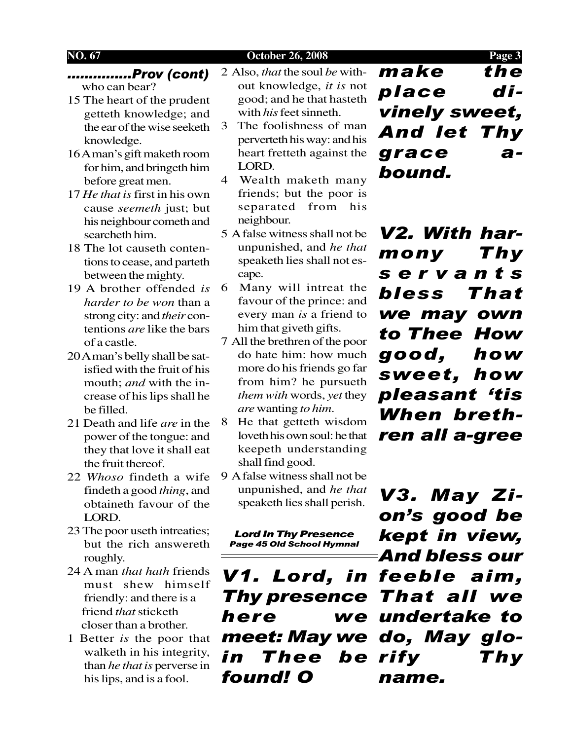### **NO. 67 October 26, 2008 Page 3**

...............Prov (cont) who can bear?

- 15 The heart of the prudent getteth knowledge; and the ear of the wise seeketh knowledge.
- 16 A man's gift maketh room for him, and bringeth him before great men.
- 17 *He that is* first in his own cause *seemeth* just; but his neighbour cometh and searcheth him.
- 18 The lot causeth contentions to cease, and parteth between the mighty.
- 19 A brother offended *is harder to be won* than a strong city: and *their* contentions *are* like the bars of a castle.
- 20 A man's belly shall be satisfied with the fruit of his mouth; *and* with the increase of his lips shall he be filled.
- 21 Death and life *are* in the power of the tongue: and they that love it shall eat the fruit thereof.
- 22 *Whoso* findeth a wife findeth a good *thing*, and obtaineth favour of the LORD.
- 23 The poor useth intreaties; but the rich answereth roughly.
- 24 A man *that hath* friends must shew himself friendly: and there is a friend *that* sticketh closer than a brother.
- 1 Better *is* the poor that walketh in his integrity, than *he that is* perverse in his lips, and is a fool.

2 Also, *that* the soul *be* without knowledge, *it is* not good; and he that hasteth with *his* feet sinneth.

- 3 The foolishness of man perverteth his way: and his heart fretteth against the LORD.
- 4 Wealth maketh many friends; but the poor is separated from his neighbour.
- 5 A false witness shall not be unpunished, and *he that* speaketh lies shall not escape.
- 6 Many will intreat the favour of the prince: and every man *is* a friend to him that giveth gifts.
- 7 All the brethren of the poor do hate him: how much more do his friends go far from him? he pursueth *them with* words, *yet* they *are* wanting *to him*.
- 8 He that getteth wisdom loveth his own soul: he that keepeth understanding shall find good.
- 9 A false witness shall not be unpunished, and *he that* speaketh lies shall perish.

Lord In Thy Presence Page 45 Old School Hymnal

V1. Lord, in feeble aim, Thy presence That all we here meet: May we do, May gloin Thee be rify Thy found! O

make the place divinely sweet, And let Thy grace abound.

V2. With harmony Thy servants bless That we may own to Thee How good, how sweet, how pleasant 'tis When brethren all a-gree

V3. May Zion's good be kept in view, And bless our we undertake to name.